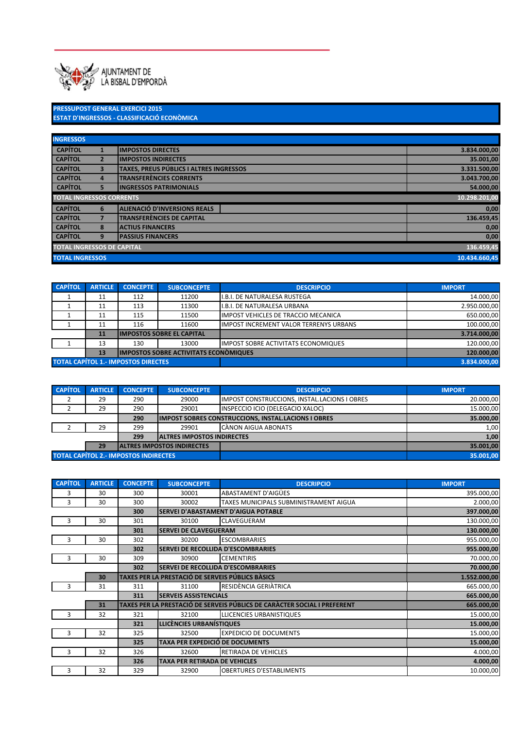

PRESSUPOST GENERAL EXERCICI 2015 ESTAT D'INGRESSOS - CLASSIFICACIÓ ECONÒMICA

| <b>INGRESSOS</b>                                        |                                                 |                                         |               |  |  |  |  |
|---------------------------------------------------------|-------------------------------------------------|-----------------------------------------|---------------|--|--|--|--|
| <b>CAPÍTOL</b>                                          |                                                 | <b>IMPOSTOS DIRECTES</b>                | 3.834.000,00  |  |  |  |  |
| <b>CAPÍTOL</b>                                          | $\overline{2}$                                  | <b>IMPOSTOS INDIRECTES</b>              | 35.001,00     |  |  |  |  |
| <b>CAPÍTOL</b>                                          | $\overline{\mathbf{3}}$                         | TAXES, PREUS PÚBLICS I ALTRES INGRESSOS | 3.331.500,00  |  |  |  |  |
| <b>CAPÍTOL</b>                                          | $\overline{a}$                                  | <b>TRANSFERÈNCIES CORRENTS</b>          | 3.043.700,00  |  |  |  |  |
| <b>CAPÍTOL</b>                                          | <b>INGRESSOS PATRIMONIALS</b><br>5              |                                         |               |  |  |  |  |
| <b>TOTAL INGRESSOS CORRENTS</b>                         |                                                 |                                         |               |  |  |  |  |
| <b>CAPÍTOL</b>                                          | 6                                               | <b>ALIENACIÓ D'INVERSIONS REALS</b>     | 0,00          |  |  |  |  |
| <b>CAPÍTOL</b>                                          | 7                                               | <b>TRANSFERÈNCIES DE CAPITAL</b>        | 136.459,45    |  |  |  |  |
| <b>CAPÍTOL</b>                                          | 8                                               | <b>ACTIUS FINANCERS</b>                 | 0,00          |  |  |  |  |
| <b>CAPÍTOL</b><br><b>PASSIUS FINANCERS</b><br>9<br>0,00 |                                                 |                                         |               |  |  |  |  |
|                                                         | <b>TOTAL INGRESSOS DE CAPITAL</b><br>136.459,45 |                                         |               |  |  |  |  |
| <b>TOTAL INGRESSOS</b>                                  |                                                 |                                         | 10.434.660,45 |  |  |  |  |

| <b>CAPÍTOL</b>                             | <b>ARTICLE</b>                                      | <b>CONCEPTE</b> | <b>SUBCONCEPTE</b>                | <b>DESCRIPCIO</b>                             | <b>IMPORT</b> |
|--------------------------------------------|-----------------------------------------------------|-----------------|-----------------------------------|-----------------------------------------------|---------------|
|                                            | 11                                                  | 112             | 11200                             | I.B.I. DE NATURALESA RUSTEGA                  | 14.000,00     |
|                                            | 11                                                  | 113             | 11300                             | I.B.I. DE NATURALESA URBANA                   | 2.950.000,00  |
|                                            | 11                                                  | 115             | 11500                             | <b>IMPOST VEHICLES DE TRACCIO MECANICA</b>    | 650.000,00    |
|                                            | 11                                                  | 116             | 11600                             | <b>IMPOST INCREMENT VALOR TERRENYS URBANS</b> | 100.000,00    |
|                                            | 11                                                  |                 | <b>IIMPOSTOS SOBRE EL CAPITAL</b> |                                               | 3.714.000.00  |
|                                            | 13                                                  | 130             | 13000                             | <b>IMPOST SOBRE ACTIVITATS ECONOMIQUES</b>    | 120.000,00    |
|                                            | <b>IIMPOSTOS SOBRE ACTIVITATS ECONÓMIQUES</b><br>13 |                 |                                   |                                               | 120.000,00    |
| <b>TOTAL CAPÍTOL 1.- IMPOSTOS DIRECTES</b> |                                                     |                 |                                   |                                               | 3.834.000.00  |

| <b>CAPÍTOL</b>                                | <b>ARTICLE</b> | <b>CONCEPTE</b> | <b>SUBCONCEPTE</b>                 | <b>DESCRIPCIO</b>                                          | <b>IMPORT</b> |
|-----------------------------------------------|----------------|-----------------|------------------------------------|------------------------------------------------------------|---------------|
|                                               | 29             | 290             | 29000                              | <b>IMPOST CONSTRUCCIONS, INSTAL.LACIONS I OBRES</b>        | 20.000,00     |
|                                               | 29             | 290             | 29001                              | INSPECCIO ICIO (DELEGACIO XALOC)                           | 15.000,00     |
|                                               |                | 290             |                                    | <b>IMPOST SOBRES CONSTRUCCIONS, INSTAL.LACIONS I OBRES</b> | 35.000.00     |
|                                               | 29             | 299             | 29901                              | CÀNON AIGUA ABONATS                                        | 1,00          |
| 299<br><b>JALTRES IMPOSTOS INDIRECTES</b>     |                |                 |                                    | 1,00                                                       |               |
|                                               | 29             |                 | <b>IALTRES IMPOSTOS INDIRECTES</b> |                                                            | 35.001,00     |
| <b>TOTAL CAPÍTOL 2.- IMPOSTOS INDIRECTES,</b> |                |                 |                                    | 35.001,00                                                  |               |

| <b>CAPÍTOL</b> | <b>ARTICLE</b> | <b>CONCEPTE</b> | <b>SUBCONCEPTE</b>                               | <b>DESCRIPCIO</b>                                                        | <b>IMPORT</b> |  |
|----------------|----------------|-----------------|--------------------------------------------------|--------------------------------------------------------------------------|---------------|--|
| 3              | 30             | 300             | 30001                                            | <b>ABASTAMENT D'AIGÜES</b>                                               | 395.000,00    |  |
| 3              | 30             | 300             | 30002                                            | TAXES MUNICIPALS SUBMINISTRAMENT AIGUA                                   | 2.000,00      |  |
|                |                | 300             |                                                  | SERVEI D'ABASTAMENT D'AIGUA POTABLE                                      | 397.000,00    |  |
| 3              | 30             | 301             | 30100                                            | CLAVEGUERAM                                                              | 130.000,00    |  |
|                |                | 301             | <b>SERVEI DE CLAVEGUERAM</b>                     |                                                                          | 130.000,00    |  |
| 3              | 30             | 302             | 30200                                            | <b>ESCOMBRARIES</b>                                                      | 955.000,00    |  |
|                |                | 302             | SERVEI DE RECOLLIDA D'ESCOMBRARIES               |                                                                          | 955.000,00    |  |
| 3              | 30             | 309             | 30900                                            | <b>CEMENTIRIS</b>                                                        | 70.000,00     |  |
|                |                | 302             | <b>SERVEI DE RECOLLIDA D'ESCOMBRARIES</b>        |                                                                          | 70.000,00     |  |
|                | 30             |                 | TAXES PER LA PRESTACIÓ DE SERVEIS PÚBLICS BÀSICS |                                                                          | 1.552.000,00  |  |
| 3              | 31             | 311             | 31100                                            | RESIDÈNCIA GERIÀTRICA                                                    | 665.000,00    |  |
|                |                | 311             | <b>SERVEIS ASSISTENCIALS</b>                     |                                                                          |               |  |
|                | 31             |                 |                                                  | TAXES PER LA PRESTACIÓ DE SERVEIS PÚBLICS DE CARÀCTER SOCIAL I PREFERENT | 665.000,00    |  |
|                | 32             | 321             | 32100                                            | <b>LLICENCIES URBANISTIQUES</b>                                          | 15.000,00     |  |
|                |                | 321             | LLICÈNCIES URBANÍSTIQUES                         |                                                                          | 15.000,00     |  |
|                | 32             | 325             | 32500                                            | <b>EXPEDICIO DE DOCUMENTS</b>                                            | 15.000,00     |  |
|                |                | 325             | <b>TAXA PER EXPEDICIÓ DE DOCUMENTS</b>           |                                                                          | 15.000,00     |  |
|                | 32             | 326             | 32600                                            | RETIRADA DE VEHICLES                                                     | 4.000,00      |  |
|                |                | 326             | <b>TAXA PER RETIRADA DE VEHICLES</b>             |                                                                          | 4.000,00      |  |
| 3              | 32             | 329             | 32900                                            | <b>OBERTURES D'ESTABLIMENTS</b>                                          | 10.000,00     |  |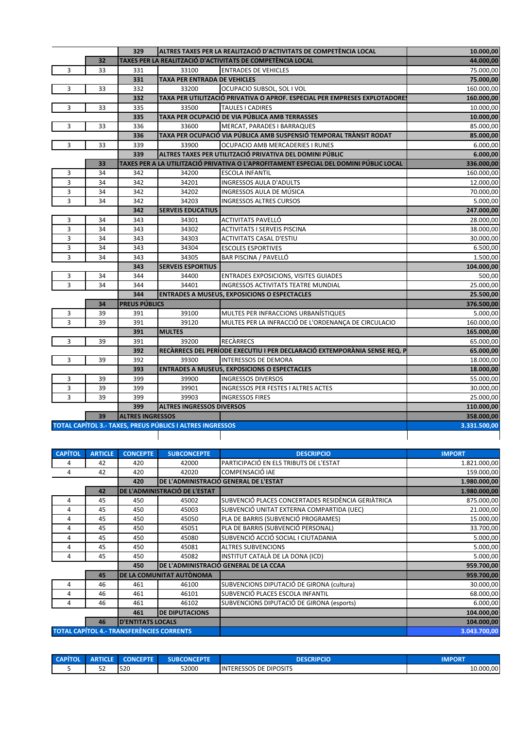|                |                | 329                     | ALTRES TAXES PER LA REALITZACIÓ D'ACTIVITATS DE COMPETÈNCIA LOCAL |                                                                                        | 10.000,00     |
|----------------|----------------|-------------------------|-------------------------------------------------------------------|----------------------------------------------------------------------------------------|---------------|
|                | 32             |                         |                                                                   | TAXES PER LA REALITZACIÓ D'ACTIVITATS DE COMPETÈNCIA LOCAL                             | 44.000,00     |
| 3              | 33             | 331                     | 33100                                                             | <b>ENTRADES DE VEHICLES</b>                                                            | 75.000,00     |
|                |                | 331                     | TAXA PER ENTRADA DE VEHICLES                                      |                                                                                        | 75.000,00     |
| 3              | 33             | 332                     | 33200                                                             | OCUPACIO SUBSOL, SOL I VOL                                                             | 160.000,00    |
|                |                | 332                     |                                                                   | TAXA PER UTILITZACIÓ PRIVATIVA O APROF. ESPECIAL PER EMPRESES EXPLOTADORE              | 160.000,00    |
| 3              | 33             | 335                     | 33500                                                             | <b>TAULES I CADIRES</b>                                                                | 10.000,00     |
|                |                | 335                     |                                                                   | TAXA PER OCUPACIÓ DE VIA PÚBLICA AMB TERRASSES                                         | 10.000,00     |
| 3              | 33             | 336                     | 33600                                                             | <b>MERCAT, PARADES I BARRAQUES</b>                                                     | 85.000,00     |
|                |                | 336                     |                                                                   | TAXA PER OCUPACIÓ VIA PÚBLICA AMB SUSPENSIÓ TEMPORAL TRÀNSIT RODAT                     | 85.000,00     |
| 3              | 33             | 339                     | 33900                                                             | OCUPACIO AMB MERCADERIES I RUNES                                                       | 6.000,00      |
|                |                | 339                     |                                                                   | ALTRES TAXES PER UTILITZACIÓ PRIVATIVA DEL DOMINI PÚBLIC                               | 6.000,00      |
|                | 33             |                         |                                                                   | TAXES PER A LA UTILITZACIÓ PRIVATIVA O L'APROFITAMENT ESPECIAL DEL DOMINI PÚBLIC LOCAL | 336.000,00    |
| 3              | 34             | 342                     | 34200                                                             | <b>ESCOLA INFANTIL</b>                                                                 | 160.000,00    |
| 3              | 34             | 342                     | 34201                                                             | <b>INGRESSOS AULA D'ADULTS</b>                                                         | 12.000,00     |
| 3              | 34             | 342                     | 34202                                                             | INGRESSOS AULA DE MÚSICA                                                               | 70.000,00     |
| 3              | 34             | 342                     | 34203                                                             | <b>INGRESSOS ALTRES CURSOS</b>                                                         | 5.000,00      |
|                |                | 342                     | <b>SERVEIS EDUCATIUS</b>                                          |                                                                                        | 247.000,00    |
| 3              | 34             | 343                     | 34301                                                             | ACTIVITATS PAVELLÓ                                                                     | 28.000,00     |
| 3              | 34             | 343                     | 34302                                                             | <b>ACTIVITATS I SERVEIS PISCINA</b>                                                    | 38.000,00     |
| 3              | 34             | 343                     | 34303                                                             | ACTIVITATS CASAL D'ESTIU                                                               | 30.000,00     |
| 3              | 34             | 343                     | 34304                                                             | <b>ESCOLES ESPORTIVES</b>                                                              | 6.500,00      |
| 3              | 34             | 343                     | 34305                                                             | BAR PISCINA / PAVELLÓ                                                                  | 1.500,00      |
|                |                | 343                     | <b>SERVEIS ESPORTIUS</b>                                          |                                                                                        | 104.000,00    |
| 3              | 34             | 344                     | 34400                                                             | <b>ENTRADES EXPOSICIONS, VISITES GUIADES</b>                                           | 500,00        |
| 3              | 34             | 344                     | 34401                                                             | INGRESSOS ACTIVITATS TEATRE MUNDIAL                                                    | 25.000,00     |
|                |                | 344                     |                                                                   | <b>ENTRADES A MUSEUS, EXPOSICIONS O ESPECTACLES</b>                                    | 25.500,00     |
|                | 34             | <b>PREUS PÚBLICS</b>    |                                                                   |                                                                                        | 376.500,00    |
| 3              | 39             | 391                     | 39100                                                             | MULTES PER INFRACCIONS URBANÍSTIQUES                                                   | 5.000,00      |
| 3              | 39             | 391                     | 39120                                                             | MULTES PER LA INFRACCIÓ DE L'ORDENANÇA DE CIRCULACIO                                   | 160.000,00    |
|                |                | 391                     | <b>MULTES</b>                                                     |                                                                                        | 165.000,00    |
| 3              | 39             | 391                     | 39200                                                             | <b>RECARRECS</b>                                                                       | 65.000,00     |
|                |                | 392                     |                                                                   | RECÀRRECS DEL PERÍODE EXECUTIU I PER DECLARACIÓ EXTEMPORÀNIA SENSE REQ. P              | 65.000,00     |
| 3              | 39             | 392                     | 39300                                                             | <b>INTERESSOS DE DEMORA</b>                                                            | 18.000,00     |
|                |                | 393                     |                                                                   | <b>ENTRADES A MUSEUS, EXPOSICIONS O ESPECTACLES</b>                                    | 18.000,00     |
| 3              | 39             | 399                     | 39900                                                             | <b>INGRESSOS DIVERSOS</b>                                                              | 55.000,00     |
| 3              | 39             | 399                     | 39901                                                             | <b>INGRESSOS PER FESTES I ALTRES ACTES</b>                                             | 30.000,00     |
| 3              | 39             | 399                     | 39903                                                             | <b>INGRESSOS FIRES</b>                                                                 | 25.000,00     |
|                |                | 399                     | <b>ALTRES INGRESSOS DIVERSOS</b>                                  |                                                                                        | 110.000,00    |
|                | 39             | <b>ALTRES INGRESSOS</b> |                                                                   |                                                                                        | 358.000,00    |
|                |                |                         | TOTAL CAPÍTOL 3.- TAXES, PREUS PÚBLICS I ALTRES INGRESSOS         |                                                                                        | 3.331.500,00  |
|                |                |                         |                                                                   |                                                                                        |               |
| <b>CAPÍTOL</b> | <b>ARTICLE</b> | <b>CONCEPTE</b>         | <b>SUBCONCEPTE</b>                                                | <b>DESCRIPCIO</b>                                                                      | <b>IMPORT</b> |
| 4              | 42             | 420                     | 42000                                                             | PARTICIPACIÓ EN ELS TRIBUTS DE L'ESTAT                                                 | 1.821.000,00  |
| 4              | 42             | 420                     | 42020                                                             | COMPENSACIÓ IAE                                                                        | 159.000,00    |
|                |                | 420                     |                                                                   | DE L'ADMINISTRACIÓ GENERAL DE L'ESTAT                                                  | 1.980.000,00  |
|                | 42             |                         | DE L'ADMINISTRACIÓ DE L'ESTAT                                     |                                                                                        | 1.980.000,00  |
| 4              | 45             | 450                     | 45002                                                             | SUBVENCIÓ PLACES CONCERTADES RESIDÈNCIA GERIÀTRICA                                     | 875.000,00    |
| 4              | 45             | 450                     | 45003                                                             | SUBVENCIÓ UNITAT EXTERNA COMPARTIDA (UEC)                                              | 21.000,00     |
|                |                |                         |                                                                   |                                                                                        |               |

| 4                                                | 45 | 450                      | 45050                           | PLA DE BARRIS (SUBVENCIÓ PROGRAMES)       | 15.000,00    |
|--------------------------------------------------|----|--------------------------|---------------------------------|-------------------------------------------|--------------|
| 4                                                | 45 | 450                      | 45051                           | PLA DE BARRIS (SUBVENCIÓ PERSONAL)        | 33.700,00    |
| 4                                                | 45 | 450                      | 45080                           | SUBVENCIÓ ACCIÓ SOCIAL I CIUTADANIA       | 5.000,00     |
| 4                                                | 45 | 450                      | 45081                           | <b>ALTRES SUBVENCIONS</b>                 | 5.000,00     |
| 4                                                | 45 | 450                      | 45082                           | INSTITUT CATALÀ DE LA DONA (ICD)          | 5.000,00     |
|                                                  |    | 450                      |                                 | DE L'ADMINISTRACIÓ GENERAL DE LA CCAA     | 959.700,00   |
|                                                  | 45 |                          | <b>DE LA COMUNITAT AUTÒNOMA</b> |                                           | 959.700,00   |
| 4                                                | 46 | 461                      | 46100                           | SUBVENCIONS DIPUTACIÓ DE GIRONA (cultura) | 30.000,00    |
| 4                                                | 46 | 461                      | 46101                           | SUBVENCIÓ PLACES ESCOLA INFANTIL          | 68.000,00    |
| 4                                                | 46 | 461                      | 46102                           | SUBVENCIONS DIPUTACIÓ DE GIRONA (esports) | 6.000,00     |
|                                                  |    | 461                      | <b>IDE DIPUTACIONS</b>          |                                           | 104.000,00   |
|                                                  | 46 | <b>D'ENTITATS LOCALS</b> |                                 |                                           | 104.000,00   |
| <b>TOTAL CAPÍTOL 4.- TRANSFERÈNCIES CORRENTS</b> |    |                          |                                 |                                           | 3.043.700.00 |

| <b>CAR</b> | <b>RTICLE</b> | $\sim$ CONCEPTE | <b>ICEDTE</b><br>וממ<br>ѕивс | <b>CRIDCIO</b>                                        | $-0.000000$<br>וחש<br>wr |
|------------|---------------|-----------------|------------------------------|-------------------------------------------------------|--------------------------|
|            | r o<br>ےر     | 520             | 52000                        | <b>TERESSOS DE DIPOSITS</b><br><b>IIN<sup>7</sup></b> | 10.000.00                |